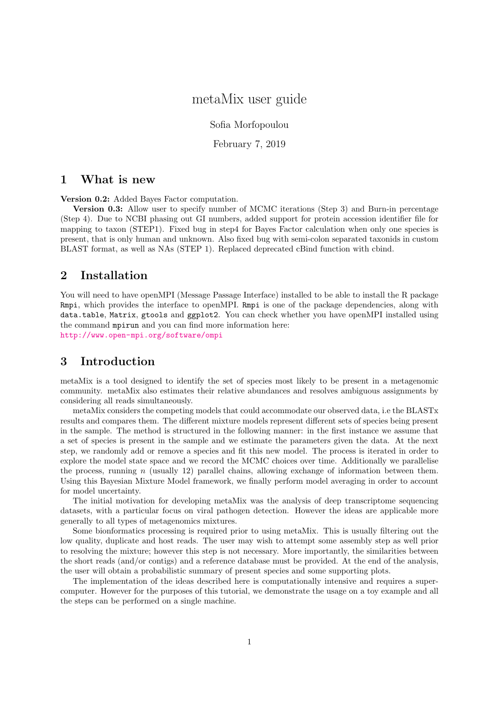# metaMix user guide

Sofia Morfopoulou

February 7, 2019

### 1 What is new

Version 0.2: Added Bayes Factor computation.

Version 0.3: Allow user to specify number of MCMC iterations (Step 3) and Burn-in percentage (Step 4). Due to NCBI phasing out GI numbers, added support for protein accession identifier file for mapping to taxon (STEP1). Fixed bug in step4 for Bayes Factor calculation when only one species is present, that is only human and unknown. Also fixed bug with semi-colon separated taxonids in custom BLAST format, as well as NAs (STEP 1). Replaced deprecated cBind function with cbind.

### 2 Installation

You will need to have openMPI (Message Passage Interface) installed to be able to install the R package Rmpi, which provides the interface to openMPI. Rmpi is one of the package dependencies, along with data.table, Matrix, gtools and ggplot2. You can check whether you have openMPI installed using the command mpirun and you can find more information here:

<http://www.open-mpi.org/software/ompi>

### 3 Introduction

metaMix is a tool designed to identify the set of species most likely to be present in a metagenomic community. metaMix also estimates their relative abundances and resolves ambiguous assignments by considering all reads simultaneously.

metaMix considers the competing models that could accommodate our observed data, i.e the BLASTx results and compares them. The different mixture models represent different sets of species being present in the sample. The method is structured in the following manner: in the first instance we assume that a set of species is present in the sample and we estimate the parameters given the data. At the next step, we randomly add or remove a species and fit this new model. The process is iterated in order to explore the model state space and we record the MCMC choices over time. Additionally we parallelise the process, running  $n$  (usually 12) parallel chains, allowing exchange of information between them. Using this Bayesian Mixture Model framework, we finally perform model averaging in order to account for model uncertainty.

The initial motivation for developing metaMix was the analysis of deep transcriptome sequencing datasets, with a particular focus on viral pathogen detection. However the ideas are applicable more generally to all types of metagenomics mixtures.

Some bionformatics processing is required prior to using metaMix. This is usually filtering out the low quality, duplicate and host reads. The user may wish to attempt some assembly step as well prior to resolving the mixture; however this step is not necessary. More importantly, the similarities between the short reads (and/or contigs) and a reference database must be provided. At the end of the analysis, the user will obtain a probabilistic summary of present species and some supporting plots.

The implementation of the ideas described here is computationally intensive and requires a supercomputer. However for the purposes of this tutorial, we demonstrate the usage on a toy example and all the steps can be performed on a single machine.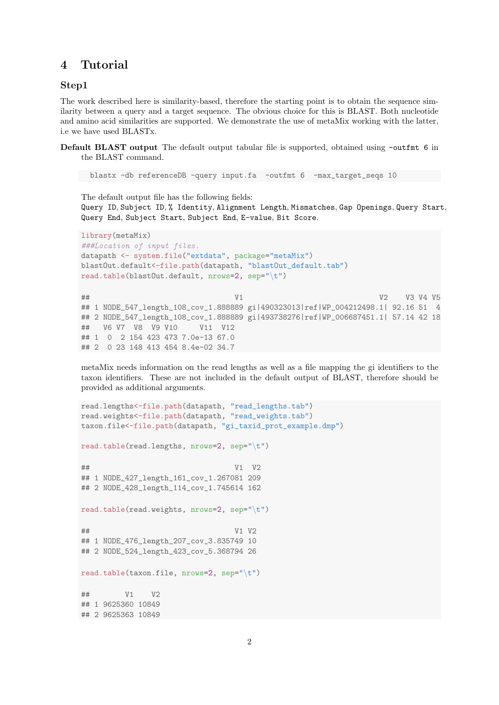### 4 Tutorial

#### Step1

The work described here is similarity-based, therefore the starting point is to obtain the sequence similarity between a query and a target sequence. The obvious choice for this is BLAST. Both nucleotide and amino acid similarities are supported. We demonstrate the use of metaMix working with the latter, i.e we have used BLASTx.

Default BLAST output The default output tabular file is supported, obtained using -outfint 6 in the BLAST command.

blastx -db referenceDB -query input.fa -outfmt 6 -max\_target\_seqs 10

The default output file has the following fields: Query ID, Subject ID, % Identity, Alignment Length, Mismatches, Gap Openings, Query Start, Query End, Subject Start, Subject End, E-value, Bit Score.

```
library(metaMix)
###Location of input files.
datapath <- system.file("extdata", package="metaMix")
blastOut.default<-file.path(datapath, "blastOut_default.tab")
read.table(blastOut.default, nrows=2, sep="\t")
## V1 V2 V3 V4 V5
## 1 NODE_547_length_108_cov_1.888889 gi|490323013|ref|WP_004212498.1| 92.16 51 4
## 2 NODE_547_length_108_cov_1.888889 gi|493738276|ref|WP_006687451.1| 57.14 42 18
## V6 V7 V8 V9 V10 V11 V12
## 1 0 2 154 423 473 7.0e-13 67.0
## 2 0 23 148 413 454 8.4e-02 34.7
```
metaMix needs information on the read lengths as well as a file mapping the gi identifiers to the taxon identifiers. These are not included in the default output of BLAST, therefore should be provided as additional arguments.

```
read.lengths<-file.path(datapath, "read_lengths.tab")
read.weights<-file.path(datapath, "read_weights.tab")
taxon.file<-file.path(datapath, "gi_taxid_prot_example.dmp")
read.table(read.lengths, nrows=2, sep="\t")
## V1 V2
## 1 NODE_427_length_161_cov_1.267081 209
## 2 NODE_428_length_114_cov_1.745614 162
read.table(read.weights, nrows=2, sep="\t")
## V1 V2
## 1 NODE_476_length_207_cov_3.835749 10
## 2 NODE_524_length_423_cov_5.368794 26
read.table(taxon.file, nrows=2, sep="\t")
## V1 V2
## 1 9625360 10849
## 2 9625363 10849
```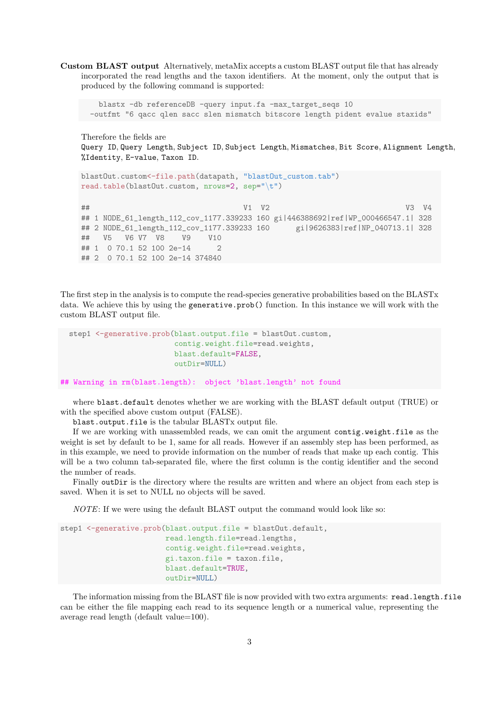Custom BLAST output Alternatively, metaMix accepts a custom BLAST output file that has already incorporated the read lengths and the taxon identifiers. At the moment, only the output that is produced by the following command is supported:

```
blastx -db referenceDB -query input.fa -max_target_seqs 10
-outfmt "6 qacc qlen sacc slen mismatch bitscore length pident evalue staxids"
```
Therefore the fields are Query ID, Query Length, Subject ID, Subject Length, Mismatches, Bit Score, Alignment Length, %Identity, E-value, Taxon ID.

```
blastOut.custom<-file.path(datapath, "blastOut_custom.tab")
read.table(blastOut.custom, nrows=2, sep="\t")
## V1 V2 V3 V4
## 1 NODE_61_length_112_cov_1177.339233 160 gi|446388692|ref|WP_000466547.1| 328
## 2 NODE_61_length_112_cov_1177.339233 160 gi|9626383|ref|NP_040713.1| 328
## V5 V6 V7 V8 V9 V10
## 1 0 70.1 52 100 2e-14 2
## 2 0 70.1 52 100 2e-14 374840
```
The first step in the analysis is to compute the read-species generative probabilities based on the BLASTx data. We achieve this by using the generative.prob() function. In this instance we will work with the custom BLAST output file.

```
step1 <- generative.prob(blast.output.file = blastOut.custom,
                        contig.weight.file=read.weights,
                        blast.default=FALSE,
                        outDir=NULL)
```
## Warning in rm(blast.length): object 'blast.length' not found

where blast.default denotes whether we are working with the BLAST default output (TRUE) or with the specified above custom output (FALSE).

blast.output.file is the tabular BLASTx output file.

If we are working with unassembled reads, we can omit the argument contig.weight.file as the weight is set by default to be 1, same for all reads. However if an assembly step has been performed, as in this example, we need to provide information on the number of reads that make up each contig. This will be a two column tab-separated file, where the first column is the contig identifier and the second the number of reads.

Finally outDir is the directory where the results are written and where an object from each step is saved. When it is set to NULL no objects will be saved.

NOTE: If we were using the default BLAST output the command would look like so:

```
step1 <- generative.prob(blast.output.file = blastOut.default,
                        read.length.file=read.lengths,
                        contig.weight.file=read.weights,
                        gi.taxon.file = taxon.file,
                        blast.default=TRUE,
                        outDir=NIJ.L
```
The information missing from the BLAST file is now provided with two extra arguments: read.length.file can be either the file mapping each read to its sequence length or a numerical value, representing the average read length (default value=100).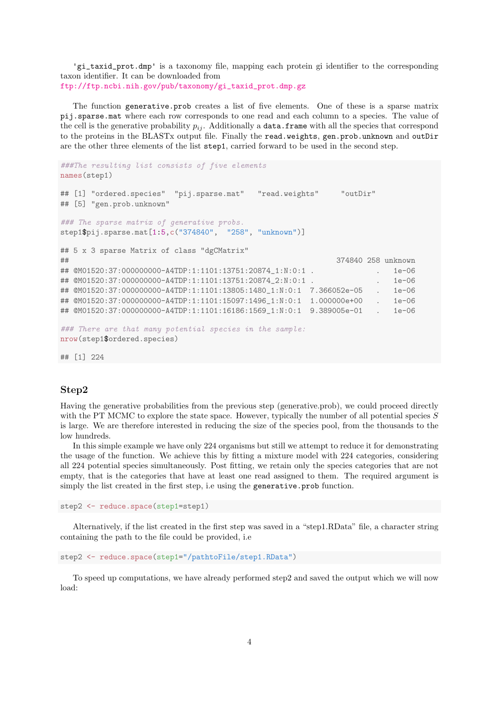'gi\_taxid\_prot.dmp' is a taxonomy file, mapping each protein gi identifier to the corresponding taxon identifier. It can be downloaded from [ftp://ftp.ncbi.nih.gov/pub/taxonomy/gi\\_taxid\\_prot.dmp.gz](ftp://ftp.ncbi.nih.gov/pub/taxonomy/gi_taxid_prot.dmp.gz)

The function generative.prob creates a list of five elements. One of these is a sparse matrix pij.sparse.mat where each row corresponds to one read and each column to a species. The value of the cell is the generative probability  $p_{ij}$ . Additionally a **data.frame** with all the species that correspond to the proteins in the BLASTx output file. Finally the read.weights, gen.prob.unknown and outDir are the other three elements of the list step1, carried forward to be used in the second step.

```
###The resulting list consists of five elements
names(step1)
## [1] "ordered.species" "pij.sparse.mat" "read.weights" "outDir"
## [5] "gen.prob.unknown"
### The sparse matrix of generative probs.
step1$pij.sparse.mat[1:5,c("374840", "258", "unknown")]
## 5 x 3 sparse Matrix of class "dgCMatrix"
## 374840 258 unknown
## @M01520:37:000000000-A4TDP:1:1101:13751:20874_1:N:0:1 . . . 1e-06
## @M01520:37:000000000-A4TDP:1:1101:13751:20874_2:N:0:1 . . 1e-06
## @M01520:37:000000000-A4TDP:1:1101:13805:1480_1:N:0:1 7.366052e-05 . 1e-06
## @M01520:37:000000000-A4TDP:1:1101:15097:1496_1:N:0:1 1.000000e+00 . 1e-06
## @M01520:37:000000000-A4TDP:1:1101:16186:1569_1:N:0:1 9.389005e-01 . 1e-06
### There are that many potential species in the sample:
nrow(step1$ordered.species)
```
## [1] 224

#### Step2

Having the generative probabilities from the previous step (generative.prob), we could proceed directly with the PT MCMC to explore the state space. However, typically the number of all potential species  $S$ is large. We are therefore interested in reducing the size of the species pool, from the thousands to the low hundreds.

In this simple example we have only 224 organisms but still we attempt to reduce it for demonstrating the usage of the function. We achieve this by fitting a mixture model with 224 categories, considering all 224 potential species simultaneously. Post fitting, we retain only the species categories that are not empty, that is the categories that have at least one read assigned to them. The required argument is simply the list created in the first step, i.e using the generative.prob function.

step2 <- reduce.space(step1=step1)

Alternatively, if the list created in the first step was saved in a "step1.RData" file, a character string containing the path to the file could be provided, i.e

```
step2 <- reduce.space(step1="/pathtoFile/step1.RData")
```
To speed up computations, we have already performed step2 and saved the output which we will now load: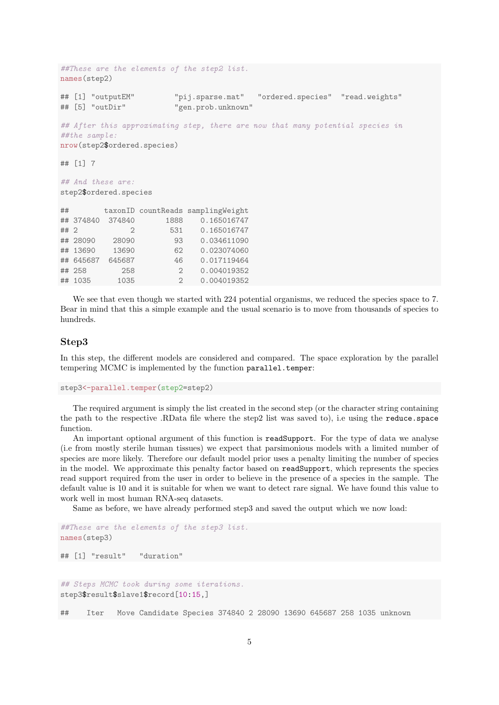```
##These are the elements of the step2 list.
names(step2)
## [1] "outputEM" "pij.sparse.mat" "ordered.species" "read.weights"
## [5] "outDir" "gen.prob.unknown"
## After this approximating step, there are now that many potential species in
##the sample:
nrow(step2$ordered.species)
## [1] 7
## And these are:
step2$ordered.species
## taxonID countReads samplingWeight
## 374840 374840 1888 0.165016747
## 2 2 531 0.165016747
## 28090 28090 93 0.034611090
## 13690 13690 62 0.023074060
## 645687 645687 46 0.017119464
## 258 258 2 0.004019352
## 1035 1035 2 0.004019352
```
We see that even though we started with 224 potential organisms, we reduced the species space to 7. Bear in mind that this a simple example and the usual scenario is to move from thousands of species to hundreds.

#### Step3

In this step, the different models are considered and compared. The space exploration by the parallel tempering MCMC is implemented by the function parallel.temper:

```
step3<-parallel.temper(step2=step2)
```
The required argument is simply the list created in the second step (or the character string containing the path to the respective .RData file where the step2 list was saved to), i.e using the reduce.space function.

An important optional argument of this function is readSupport. For the type of data we analyse (i.e from mostly sterile human tissues) we expect that parsimonious models with a limited number of species are more likely. Therefore our default model prior uses a penalty limiting the number of species in the model. We approximate this penalty factor based on readSupport, which represents the species read support required from the user in order to believe in the presence of a species in the sample. The default value is 10 and it is suitable for when we want to detect rare signal. We have found this value to work well in most human RNA-seq datasets.

Same as before, we have already performed step3 and saved the output which we now load:

```
##These are the elements of the step3 list.
names(step3)
## [1] "result" "duration"
## Steps MCMC took during some iterations.
step3$result$slave1$record[10:15,]
```
## Iter Move Candidate Species 374840 2 28090 13690 645687 258 1035 unknown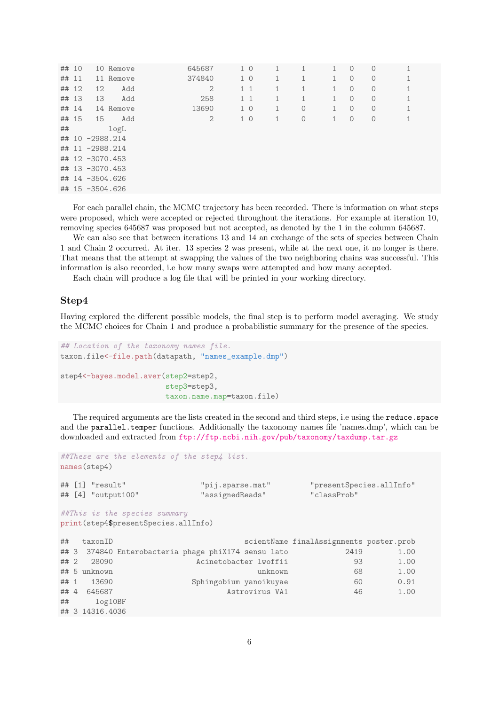| ## 10 |                 | 10 Remove | 645687         | 1 <sub>0</sub> |              |         | 1 | $\circ$ | $\Omega$    |              |  |
|-------|-----------------|-----------|----------------|----------------|--------------|---------|---|---------|-------------|--------------|--|
| ## 11 |                 | 11 Remove | 374840         | 1 <sub>0</sub> | $\mathbf{1}$ | 1       | 1 | $\circ$ | $\circ$     | 1            |  |
| ## 12 | 12              | Add       | $\overline{2}$ | $1\quad1$      | 1            |         | 1 | $\circ$ | $\circ$     | 1            |  |
| ## 13 | 13              | Add       | 258            | $1\quad1$      | 1            | 1       | 1 | $\circ$ | $\circ$     | 1            |  |
| ## 14 |                 | 14 Remove | 13690          | 1 <sub>0</sub> | 1            | 0       | 1 | $\circ$ | $\mathbf 0$ | 1            |  |
| ## 15 | 15              | Add       | $\mathbf{2}$   | 1 <sub>0</sub> | 1            | $\circ$ | 1 | $\circ$ | $\circ$     | $\mathbf{1}$ |  |
| ##    |                 | logL      |                |                |              |         |   |         |             |              |  |
|       | ## 10 -2988.214 |           |                |                |              |         |   |         |             |              |  |
|       | ## 11 -2988.214 |           |                |                |              |         |   |         |             |              |  |
|       | ## 12 -3070.453 |           |                |                |              |         |   |         |             |              |  |
|       | ## 13 -3070.453 |           |                |                |              |         |   |         |             |              |  |
|       | ## 14 -3504.626 |           |                |                |              |         |   |         |             |              |  |
|       | ## 15 -3504.626 |           |                |                |              |         |   |         |             |              |  |

For each parallel chain, the MCMC trajectory has been recorded. There is information on what steps were proposed, which were accepted or rejected throughout the iterations. For example at iteration 10, removing species 645687 was proposed but not accepted, as denoted by the 1 in the column 645687.

We can also see that between iterations 13 and 14 an exchange of the sets of species between Chain 1 and Chain 2 occurred. At iter. 13 species 2 was present, while at the next one, it no longer is there. That means that the attempt at swapping the values of the two neighboring chains was successful. This information is also recorded, i.e how many swaps were attempted and how many accepted.

Each chain will produce a log file that will be printed in your working directory.

#### Step4

Having explored the different possible models, the final step is to perform model averaging. We study the MCMC choices for Chain 1 and produce a probabilistic summary for the presence of the species.

```
## Location of the taxonomy names file.
taxon.file<-file.path(datapath, "names_example.dmp")
step4<-bayes.model.aver(step2=step2,
                        step3=step3,
                        taxon.name.map=taxon.file)
```
The required arguments are the lists created in the second and third steps, i.e using the reduce.space and the **parallel.temper** functions. Additionally the taxonomy names file 'names.dmp', which can be downloaded and extracted from <ftp://ftp.ncbi.nih.gov/pub/taxonomy/taxdump.tar.gz>

```
##These are the elements of the step4 list.
names(step4)
## [1] "result" "pij.sparse.mat" "presentSpecies.allInfo"
## [4] "output100"
##This is the species summary
print(step4$presentSpecies.allInfo)
## taxonID scientName finalAssignments poster.prob
## 3 374840 Enterobacteria phage phiX174 sensu lato 2419 1.00
## 2 28090 Acinetobacter lwoffii 93 1.00
## 5 unknown unknown 68 1.00
## 1 13690 Sphingobium yanoikuyae 60 0.91
## 4 645687 Astrovirus VA1 46 1.00
## log10BF
## 3 14316.4036
```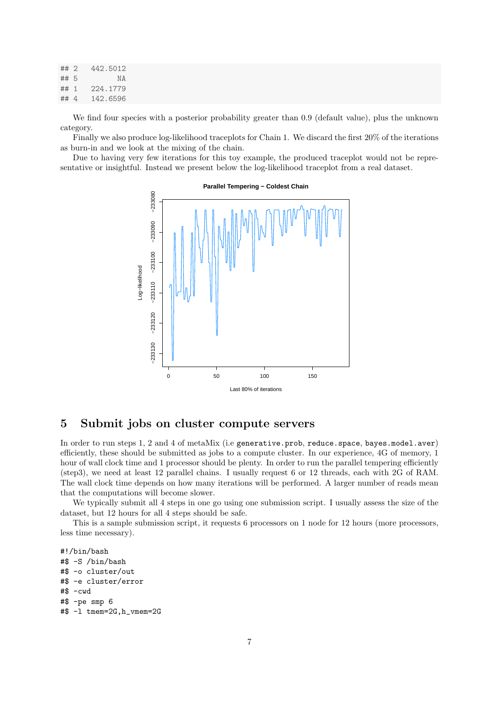| ##2  | 442.5012  |
|------|-----------|
| ## 5 | N A       |
| ## 1 | 224, 1779 |
| ##4  | 142.6596  |

We find four species with a posterior probability greater than 0.9 (default value), plus the unknown category.

Finally we also produce log-likelihood traceplots for Chain 1. We discard the first 20% of the iterations as burn-in and we look at the mixing of the chain.

Due to having very few iterations for this toy example, the produced traceplot would not be representative or insightful. Instead we present below the log-likelihood traceplot from a real dataset.



**Parallel Tempering − Coldest Chain**

## 5 Submit jobs on cluster compute servers

In order to run steps 1, 2 and 4 of metaMix (i.e generative.prob, reduce.space, bayes.model.aver) efficiently, these should be submitted as jobs to a compute cluster. In our experience, 4G of memory, 1 hour of wall clock time and 1 processor should be plenty. In order to run the parallel tempering efficiently (step3), we need at least 12 parallel chains. I usually request 6 or 12 threads, each with 2G of RAM. The wall clock time depends on how many iterations will be performed. A larger number of reads mean that the computations will become slower.

We typically submit all 4 steps in one go using one submission script. I usually assess the size of the dataset, but 12 hours for all 4 steps should be safe.

This is a sample submission script, it requests 6 processors on 1 node for 12 hours (more processors, less time necessary).

#!/bin/bash #\$ -S /bin/bash #\$ -o cluster/out #\$ -e cluster/error #\$ -cwd #\$ -pe smp 6 #\$ -l tmem=2G,h\_vmem=2G